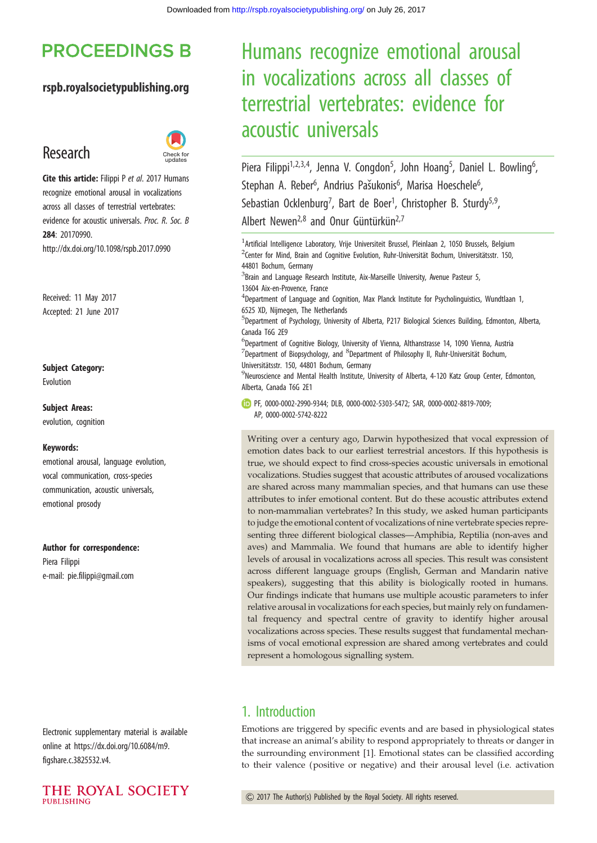# **PROCEEDINGS B**

#### rspb.royalsocietypublishing.org

# Research



Cite this article: Filippi P et al. 2017 Humans recognize emotional arousal in vocalizations across all classes of terrestrial vertebrates: evidence for acoustic universals. Proc. R. Soc. B 284: 20170990. http://dx.doi.org/10.1098/rspb.2017.0990

Received: 11 May 2017 Accepted: 21 June 2017

#### Subject Category:

Evolution

#### Subject Areas:

evolution, cognition

#### Keywords:

emotional arousal, language evolution, vocal communication, cross-species communication, acoustic universals, emotional prosody

#### Author for correspondence:

Piera Filippi e-mail: [pie.filippi@gmail.com](mailto:pie.filippi@gmail.com)

Electronic supplementary material is available online at [https://dx.doi.org/10.6084/m9.](https://dx.doi.org/10.6084/m9.figshare.c.3825532.v4) [figshare.c.3825532.v4.](https://dx.doi.org/10.6084/m9.figshare.c.3825532.v4)



# Humans recognize emotional arousal in vocalizations across all classes of terrestrial vertebrates: evidence for acoustic universals

Piera Filippi<sup>1,2,3,4</sup>, Jenna V. Congdon<sup>5</sup>, John Hoang<sup>5</sup>, Daniel L. Bowling<sup>6</sup> .<br>, Stephan A. Reber<sup>6</sup>, Andrius Pašukonis<sup>6</sup>, Marisa Hoeschele<sup>6</sup> , Sebastian Ocklenburg<sup>7</sup>, Bart de Boer<sup>1</sup>, Christopher B. Sturdy<sup>5,9</sup>, Albert Newen<sup>2,8</sup> and Onur Güntürkün<sup>2,7</sup>

| $^1$ Artificial Intelligence Laboratory, Vrije Universiteit Brussel, Pleinlaan 2, 1050 Brussels, Belgium<br><sup>2</sup> Center for Mind, Brain and Cognitive Evolution, Ruhr-Universität Bochum, Universitätsstr. 150,<br>44801 Bochum, Germany<br>${}^{3}$ Brain and Language Research Institute, Aix-Marseille University, Avenue Pasteur 5,<br>13604 Aix-en-Provence, France<br>$^4$ Department of Language and Cognition, Max Planck Institute for Psycholinguistics, Wundtlaan 1,<br>6525 XD, Nijmegen, The Netherlands<br><sup>5</sup> Department of Psychology, University of Alberta, P217 Biological Sciences Building, Edmonton, Alberta,<br>Canada T6G 2E9<br>${}^{6}$ Department of Cognitive Biology, University of Vienna, Althanstrasse 14, 1090 Vienna, Austria |
|----------------------------------------------------------------------------------------------------------------------------------------------------------------------------------------------------------------------------------------------------------------------------------------------------------------------------------------------------------------------------------------------------------------------------------------------------------------------------------------------------------------------------------------------------------------------------------------------------------------------------------------------------------------------------------------------------------------------------------------------------------------------------------|
| $^7$ Department of Biopsychology, and $^8$ Department of Philosophy II, Ruhr-Universität Bochum,<br>Universitätsstr. 150, 44801 Bochum, Germany<br><sup>9</sup> Neuroscience and Mental Health Institute, University of Alberta, 4-120 Katz Group Center, Edmonton,<br>Alberta, Canada T6G 2E1                                                                                                                                                                                                                                                                                                                                                                                                                                                                                   |
| PF, 0000-0002-2990-9344; DLB, 0000-0002-5303-5472; SAR, 0000-0002-8819-7009;<br>AP, 0000-0002-5742-8222                                                                                                                                                                                                                                                                                                                                                                                                                                                                                                                                                                                                                                                                          |
| Writing over a century ago, Darwin hypothesized that vocal expression of<br>emotion dates back to our earliest terrestrial ancestors. If this hypothesis is<br>true, we should expect to find cross-species acoustic universals in emotional<br>vocalizations. Studies suggest that acoustic attributes of aroused vocalizations<br>are shared across many mammalian species, and that humans can use these<br>attributes to infer emotional content. But do these acoustic attributes extend<br>to non-mammalian vertebrates? In this study, we asked human participants<br>to judge the emotional content of vocalizations of nine vertebrate species repre-                                                                                                                   |
| $\mathcal{L}$ and $\mathcal{L}$ and $\mathcal{L}$ and $\mathcal{L}$ and $\mathcal{L}$ and $\mathcal{L}$ and $\mathcal{L}$ and $\mathcal{L}$ and $\mathcal{L}$ and $\mathcal{L}$ and $\mathcal{L}$ and $\mathcal{L}$ and $\mathcal{L}$ and $\mathcal{L}$ and $\mathcal{L}$ and $\mathcal{L}$ and $\mathcal{L}$ and                                                                                                                                                                                                                                                                                                                                                                                                                                                                |

to non-mammalian vertebrates? In this study, we asked human participants to judge the emotional content of vocalizations of nine vertebrate species representing three different biological classes—Amphibia, Reptilia (non-aves and aves) and Mammalia. We found that humans are able to identify higher levels of arousal in vocalizations across all species. This result was consistent across different language groups (English, German and Mandarin native speakers), suggesting that this ability is biologically rooted in humans. Our findings indicate that humans use multiple acoustic parameters to infer relative arousal in vocalizations for each species, but mainly rely on fundamental frequency and spectral centre of gravity to identify higher arousal vocalizations across species. These results suggest that fundamental mechanisms of vocal emotional expression are shared among vertebrates and could represent a homologous signalling system.

# 1. Introduction

Emotions are triggered by specific events and are based in physiological states that increase an animal's ability to respond appropriately to threats or danger in the surrounding environment [\[1\]](#page-6-0). Emotional states can be classified according to their valence (positive or negative) and their arousal level (i.e. activation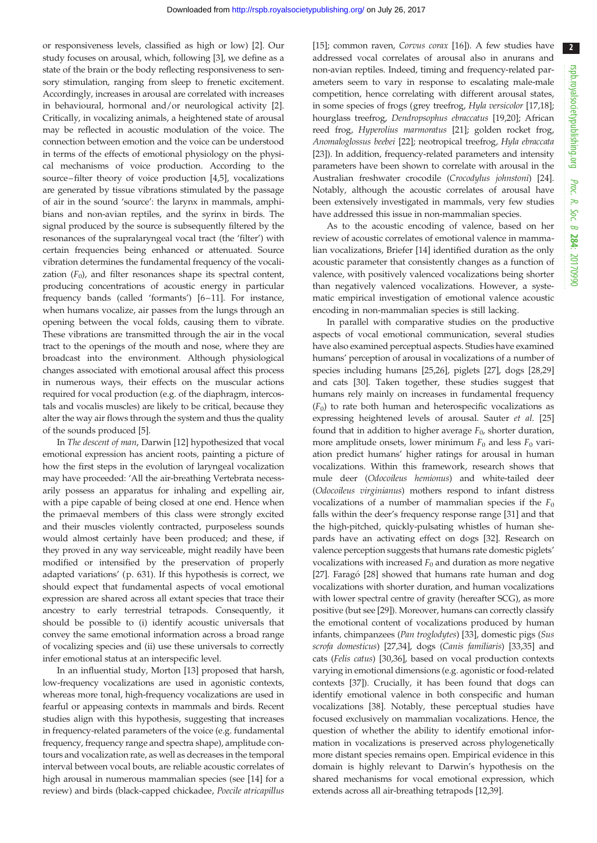$\overline{\mathbf{2}}$ 

or responsiveness levels, classified as high or low) [\[2\]](#page-6-0). Our study focuses on arousal, which, following [\[3\]](#page-6-0), we define as a state of the brain or the body reflecting responsiveness to sensory stimulation, ranging from sleep to frenetic excitement. Accordingly, increases in arousal are correlated with increases in behavioural, hormonal and/or neurological activity [[2](#page-6-0)]. Critically, in vocalizing animals, a heightened state of arousal may be reflected in acoustic modulation of the voice. The connection between emotion and the voice can be understood in terms of the effects of emotional physiology on the physical mechanisms of voice production. According to the source–filter theory of voice production [\[4,5](#page-6-0)], vocalizations are generated by tissue vibrations stimulated by the passage of air in the sound 'source': the larynx in mammals, amphibians and non-avian reptiles, and the syrinx in birds. The signal produced by the source is subsequently filtered by the resonances of the supralaryngeal vocal tract (the 'filter') with certain frequencies being enhanced or attenuated. Source vibration determines the fundamental frequency of the vocalization  $(F_0)$ , and filter resonances shape its spectral content, producing concentrations of acoustic energy in particular frequency bands (called 'formants') [\[6](#page-6-0)–[11\]](#page-6-0). For instance, when humans vocalize, air passes from the lungs through an opening between the vocal folds, causing them to vibrate. These vibrations are transmitted through the air in the vocal tract to the openings of the mouth and nose, where they are broadcast into the environment. Although physiological changes associated with emotional arousal affect this process in numerous ways, their effects on the muscular actions required for vocal production (e.g. of the diaphragm, intercostals and vocalis muscles) are likely to be critical, because they alter the way air flows through the system and thus the quality of the sounds produced [[5](#page-6-0)].

In The descent of man, Darwin [\[12](#page-6-0)] hypothesized that vocal emotional expression has ancient roots, painting a picture of how the first steps in the evolution of laryngeal vocalization may have proceeded: 'All the air-breathing Vertebrata necessarily possess an apparatus for inhaling and expelling air, with a pipe capable of being closed at one end. Hence when the primaeval members of this class were strongly excited and their muscles violently contracted, purposeless sounds would almost certainly have been produced; and these, if they proved in any way serviceable, might readily have been modified or intensified by the preservation of properly adapted variations' (p. 631). If this hypothesis is correct, we should expect that fundamental aspects of vocal emotional expression are shared across all extant species that trace their ancestry to early terrestrial tetrapods. Consequently, it should be possible to (i) identify acoustic universals that convey the same emotional information across a broad range of vocalizing species and (ii) use these universals to correctly infer emotional status at an interspecific level.

In an influential study, Morton [\[13](#page-6-0)] proposed that harsh, low-frequency vocalizations are used in agonistic contexts, whereas more tonal, high-frequency vocalizations are used in fearful or appeasing contexts in mammals and birds. Recent studies align with this hypothesis, suggesting that increases in frequency-related parameters of the voice (e.g. fundamental frequency, frequency range and spectra shape), amplitude contours and vocalization rate, as well as decreases in the temporal interval between vocal bouts, are reliable acoustic correlates of high arousal in numerous mammalian species (see [[14\]](#page-6-0) for a review) and birds (black-capped chickadee, Poecile atricapillus

[[15\]](#page-6-0); common raven, Corvus corax [[16\]](#page-6-0)). A few studies have addressed vocal correlates of arousal also in anurans and non-avian reptiles. Indeed, timing and frequency-related parameters seem to vary in response to escalating male-male competition, hence correlating with different arousal states, in some species of frogs (grey treefrog, Hyla versicolor [[17,18\]](#page-6-0); hourglass treefrog, Dendropsophus ebraccatus [\[19,20](#page-6-0)]; African reed frog, Hyperolius marmoratus [[21\]](#page-6-0); golden rocket frog, Anomaloglossus beebei [\[22](#page-6-0)]; neotropical treefrog, Hyla ebraccata [[23\]](#page-7-0)). In addition, frequency-related parameters and intensity parameters have been shown to correlate with arousal in the Australian freshwater crocodile (Crocodylus johnstoni) [[24\]](#page-7-0). Notably, although the acoustic correlates of arousal have been extensively investigated in mammals, very few studies have addressed this issue in non-mammalian species.

As to the acoustic encoding of valence, based on her review of acoustic correlates of emotional valence in mammalian vocalizations, Briefer [\[14](#page-6-0)] identified duration as the only acoustic parameter that consistently changes as a function of valence, with positively valenced vocalizations being shorter than negatively valenced vocalizations. However, a systematic empirical investigation of emotional valence acoustic encoding in non-mammalian species is still lacking.

In parallel with comparative studies on the productive aspects of vocal emotional communication, several studies have also examined perceptual aspects. Studies have examined humans' perception of arousal in vocalizations of a number of species including humans [\[25,26](#page-7-0)], piglets [[27\]](#page-7-0), dogs [[28,29\]](#page-7-0) and cats [\[30](#page-7-0)]. Taken together, these studies suggest that humans rely mainly on increases in fundamental frequency  $(F<sub>0</sub>)$  to rate both human and heterospecific vocalizations as expressing heightened levels of arousal. Sauter et al. [[25\]](#page-7-0) found that in addition to higher average  $F_0$ , shorter duration, more amplitude onsets, lower minimum  $F_0$  and less  $F_0$  variation predict humans' higher ratings for arousal in human vocalizations. Within this framework, research shows that mule deer (Odocoileus hemionus) and white-tailed deer (Odocoileus virginianus) mothers respond to infant distress vocalizations of a number of mammalian species if the  $F_0$ falls within the deer's frequency response range [\[31](#page-7-0)] and that the high-pitched, quickly-pulsating whistles of human shepards have an activating effect on dogs [\[32](#page-7-0)]. Research on valence perception suggests that humans rate domestic piglets' vocalizations with increased  $F_0$  and duration as more negative [[27\]](#page-7-0). Faragó [[28](#page-7-0)] showed that humans rate human and dog vocalizations with shorter duration, and human vocalizations with lower spectral centre of gravity (hereafter SCG), as more positive (but see [\[29](#page-7-0)]). Moreover, humans can correctly classify the emotional content of vocalizations produced by human infants, chimpanzees (Pan troglodytes) [[33](#page-7-0)], domestic pigs (Sus scrofa domesticus) [\[27,34](#page-7-0)], dogs (Canis familiaris) [\[33](#page-7-0),[35](#page-7-0)] and cats (Felis catus) [\[30,36](#page-7-0)], based on vocal production contexts varying in emotional dimensions (e.g. agonistic or food-related contexts [\[37](#page-7-0)]). Crucially, it has been found that dogs can identify emotional valence in both conspecific and human vocalizations [[38\]](#page-7-0). Notably, these perceptual studies have focused exclusively on mammalian vocalizations. Hence, the question of whether the ability to identify emotional information in vocalizations is preserved across phylogenetically more distant species remains open. Empirical evidence in this domain is highly relevant to Darwin's hypothesis on the shared mechanisms for vocal emotional expression, which extends across all air-breathing tetrapods [\[12](#page-6-0)[,39](#page-7-0)].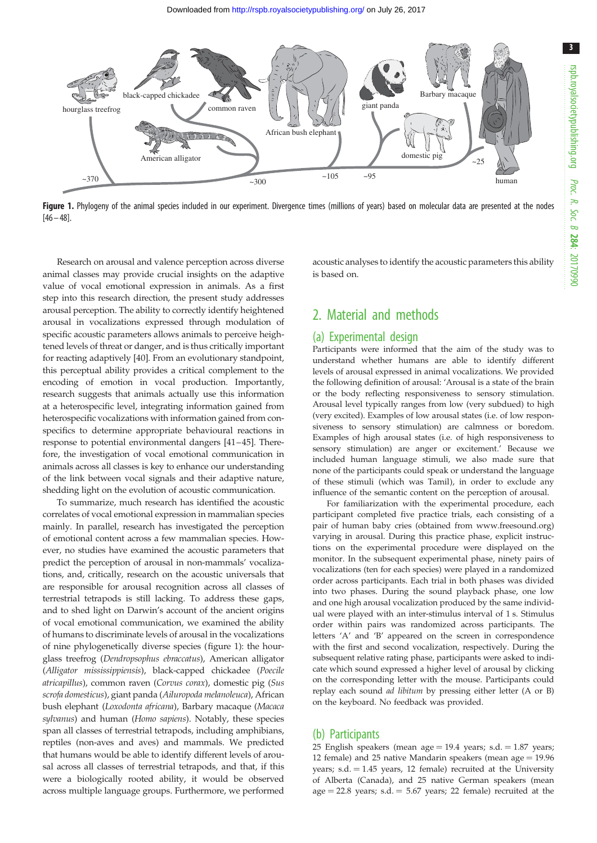3

<span id="page-2-0"></span>

Figure 1. Phylogeny of the animal species included in our experiment. Divergence times (millions of years) based on molecular data are presented at the nodes  $[46 - 48]$  $[46 - 48]$  $[46 - 48]$  $[46 - 48]$ .

Research on arousal and valence perception across diverse animal classes may provide crucial insights on the adaptive value of vocal emotional expression in animals. As a first step into this research direction, the present study addresses arousal perception. The ability to correctly identify heightened arousal in vocalizations expressed through modulation of specific acoustic parameters allows animals to perceive heightened levels of threat or danger, and is thus critically important for reacting adaptively [[40\]](#page-7-0). From an evolutionary standpoint, this perceptual ability provides a critical complement to the encoding of emotion in vocal production. Importantly, research suggests that animals actually use this information at a heterospecific level, integrating information gained from heterospecific vocalizations with information gained from conspecifics to determine appropriate behavioural reactions in response to potential environmental dangers [\[41](#page-7-0)–[45](#page-7-0)]. Therefore, the investigation of vocal emotional communication in animals across all classes is key to enhance our understanding of the link between vocal signals and their adaptive nature, shedding light on the evolution of acoustic communication.

To summarize, much research has identified the acoustic correlates of vocal emotional expression in mammalian species mainly. In parallel, research has investigated the perception of emotional content across a few mammalian species. However, no studies have examined the acoustic parameters that predict the perception of arousal in non-mammals' vocalizations, and, critically, research on the acoustic universals that are responsible for arousal recognition across all classes of terrestrial tetrapods is still lacking. To address these gaps, and to shed light on Darwin's account of the ancient origins of vocal emotional communication, we examined the ability of humans to discriminate levels of arousal in the vocalizations of nine phylogenetically diverse species (figure 1): the hourglass treefrog (Dendropsophus ebraccatus), American alligator (Alligator mississippiensis), black-capped chickadee (Poecile atricapillus), common raven (Corvus corax), domestic pig (Sus scrofa domesticus), giant panda (Ailuropoda melanoleuca), African bush elephant (Loxodonta africana), Barbary macaque (Macaca sylvanus) and human (Homo sapiens). Notably, these species span all classes of terrestrial tetrapods, including amphibians, reptiles (non-aves and aves) and mammals. We predicted that humans would be able to identify different levels of arousal across all classes of terrestrial tetrapods, and that, if this were a biologically rooted ability, it would be observed across multiple language groups. Furthermore, we performed acoustic analyses to identify the acoustic parameters this ability is based on.

## 2. Material and methods

#### (a) Experimental design

Participants were informed that the aim of the study was to understand whether humans are able to identify different levels of arousal expressed in animal vocalizations. We provided the following definition of arousal: 'Arousal is a state of the brain or the body reflecting responsiveness to sensory stimulation. Arousal level typically ranges from low (very subdued) to high (very excited). Examples of low arousal states (i.e. of low responsiveness to sensory stimulation) are calmness or boredom. Examples of high arousal states (i.e. of high responsiveness to sensory stimulation) are anger or excitement.' Because we included human language stimuli, we also made sure that none of the participants could speak or understand the language of these stimuli (which was Tamil), in order to exclude any influence of the semantic content on the perception of arousal.

For familiarization with the experimental procedure, each participant completed five practice trials, each consisting of a pair of human baby cries (obtained from [www.freesound.org\)](http://www.freesound.org) varying in arousal. During this practice phase, explicit instructions on the experimental procedure were displayed on the monitor. In the subsequent experimental phase, ninety pairs of vocalizations (ten for each species) were played in a randomized order across participants. Each trial in both phases was divided into two phases. During the sound playback phase, one low and one high arousal vocalization produced by the same individual were played with an inter-stimulus interval of 1 s. Stimulus order within pairs was randomized across participants. The letters 'A' and 'B' appeared on the screen in correspondence with the first and second vocalization, respectively. During the subsequent relative rating phase, participants were asked to indicate which sound expressed a higher level of arousal by clicking on the corresponding letter with the mouse. Participants could replay each sound ad libitum by pressing either letter (A or B) on the keyboard. No feedback was provided.

#### (b) Participants

25 English speakers (mean age  $= 19.4$  years; s.d.  $= 1.87$  years; 12 female) and 25 native Mandarin speakers (mean age  $= 19.96$ years; s.d.  $= 1.45$  years, 12 female) recruited at the University of Alberta (Canada), and 25 native German speakers (mean  $age = 22.8 \text{ years}; s.d. = 5.67 \text{ years}; 22 \text{ female}$  recruited at the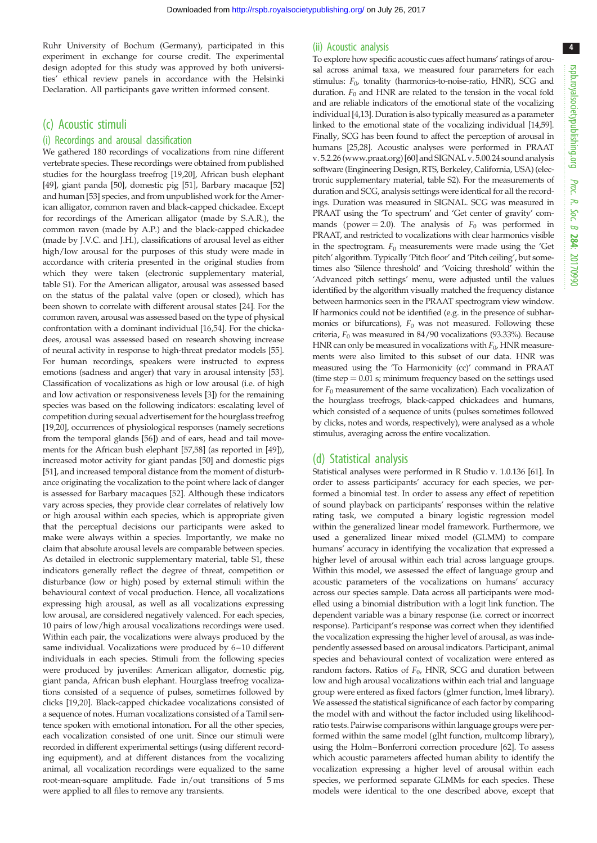Ruhr University of Bochum (Germany), participated in this experiment in exchange for course credit. The experimental design adopted for this study was approved by both universities' ethical review panels in accordance with the Helsinki Declaration. All participants gave written informed consent.

#### (c) Acoustic stimuli

#### (i) Recordings and arousal classification

We gathered 180 recordings of vocalizations from nine different vertebrate species. These recordings were obtained from published studies for the hourglass treefrog [\[19](#page-6-0),[20\]](#page-6-0), African bush elephant [\[49\]](#page-7-0), giant panda [\[50\]](#page-7-0), domestic pig [\[51\]](#page-7-0), Barbary macaque [\[52\]](#page-7-0) and human [[53](#page-7-0)] species, and from unpublished work for the American alligator, common raven and black-capped chickadee. Except for recordings of the American alligator (made by S.A.R.), the common raven (made by A.P.) and the black-capped chickadee (made by J.V.C. and J.H.), classifications of arousal level as either high/low arousal for the purposes of this study were made in accordance with criteria presented in the original studies from which they were taken (electronic supplementary material, table S1). For the American alligator, arousal was assessed based on the status of the palatal valve (open or closed), which has been shown to correlate with different arousal states [\[24\]](#page-7-0). For the common raven, arousal was assessed based on the type of physical confrontation with a dominant individual [\[16,](#page-6-0)[54](#page-7-0)]. For the chickadees, arousal was assessed based on research showing increase of neural activity in response to high-threat predator models [\[55\]](#page-7-0). For human recordings, speakers were instructed to express emotions (sadness and anger) that vary in arousal intensity [\[53\]](#page-7-0). Classification of vocalizations as high or low arousal (i.e. of high and low activation or responsiveness levels [[3](#page-6-0)]) for the remaining species was based on the following indicators: escalating level of competition during sexual advertisement for the hourglass treefrog [\[19,20](#page-6-0)], occurrences of physiological responses (namely secretions from the temporal glands [[56](#page-7-0)]) and of ears, head and tail movements for the African bush elephant [\[57,58](#page-7-0)] (as reported in [[49](#page-7-0)]), increased motor activity for giant pandas [[50\]](#page-7-0) and domestic pigs [\[51\]](#page-7-0), and increased temporal distance from the moment of disturbance originating the vocalization to the point where lack of danger is assessed for Barbary macaques [[52](#page-7-0)]. Although these indicators vary across species, they provide clear correlates of relatively low or high arousal within each species, which is appropriate given that the perceptual decisions our participants were asked to make were always within a species. Importantly, we make no claim that absolute arousal levels are comparable between species. As detailed in electronic supplementary material, table S1, these indicators generally reflect the degree of threat, competition or disturbance (low or high) posed by external stimuli within the behavioural context of vocal production. Hence, all vocalizations expressing high arousal, as well as all vocalizations expressing low arousal, are considered negatively valenced. For each species, 10 pairs of low/high arousal vocalizations recordings were used. Within each pair, the vocalizations were always produced by the same individual. Vocalizations were produced by 6–10 different individuals in each species. Stimuli from the following species were produced by juveniles: American alligator, domestic pig, giant panda, African bush elephant. Hourglass treefrog vocalizations consisted of a sequence of pulses, sometimes followed by clicks [[19,20\]](#page-6-0). Black-capped chickadee vocalizations consisted of a sequence of notes. Human vocalizations consisted of a Tamil sentence spoken with emotional intonation. For all the other species, each vocalization consisted of one unit. Since our stimuli were recorded in different experimental settings (using different recording equipment), and at different distances from the vocalizing animal, all vocalization recordings were equalized to the same root-mean-square amplitude. Fade in/out transitions of 5 ms were applied to all files to remove any transients.

#### (ii) Acoustic analysis

To explore how specific acoustic cues affect humans' ratings of arousal across animal taxa, we measured four parameters for each stimulus:  $F_{0}$ , tonality (harmonics-to-noise-ratio, HNR), SCG and duration.  $F_0$  and HNR are related to the tension in the vocal fold and are reliable indicators of the emotional state of the vocalizing individual [\[4,13\]](#page-6-0). Duration is also typically measured as a parameter linked to the emotional state of the vocalizing individual [[14,](#page-6-0)[59\]](#page-7-0). Finally, SCG has been found to affect the perception of arousal in humans [\[25,28](#page-7-0)]. Acoustic analyses were performed in PRAAT v. 5.2.26 [\(www.praat.org](http://www.praat.org)) [\[60](#page-7-0)] and SIGNAL v. 5.00.24 sound analysis software (Engineering Design, RTS, Berkeley, California, USA) (electronic supplementary material, table S2). For the measurements of duration and SCG, analysis settings were identical for all the recordings. Duration was measured in SIGNAL. SCG was measured in PRAAT using the 'To spectrum' and 'Get center of gravity' commands (power = 2.0). The analysis of  $F_0$  was performed in PRAAT, and restricted to vocalizations with clear harmonics visible in the spectrogram.  $F_0$  measurements were made using the 'Get pitch' algorithm. Typically 'Pitch floor' and 'Pitch ceiling', but sometimes also 'Silence threshold' and 'Voicing threshold' within the 'Advanced pitch settings' menu, were adjusted until the values identified by the algorithm visually matched the frequency distance between harmonics seen in the PRAAT spectrogram view window. If harmonics could not be identified (e.g. in the presence of subharmonics or bifurcations),  $F_0$  was not measured. Following these criteria,  $F_0$  was measured in 84/90 vocalizations (93.33%). Because HNR can only be measured in vocalizations with  $F_0$ , HNR measurements were also limited to this subset of our data. HNR was measured using the 'To Harmonicity (cc)' command in PRAAT (time step  $= 0.01$  s; minimum frequency based on the settings used for  $F_0$  measurement of the same vocalization). Each vocalization of the hourglass treefrogs, black-capped chickadees and humans, which consisted of a sequence of units (pulses sometimes followed by clicks, notes and words, respectively), were analysed as a whole stimulus, averaging across the entire vocalization.

#### (d) Statistical analysis

Statistical analyses were performed in R Studio v. 1.0.136 [\[61\]](#page-7-0). In order to assess participants' accuracy for each species, we performed a binomial test. In order to assess any effect of repetition of sound playback on participants' responses within the relative rating task, we computed a binary logistic regression model within the generalized linear model framework. Furthermore, we used a generalized linear mixed model (GLMM) to compare humans' accuracy in identifying the vocalization that expressed a higher level of arousal within each trial across language groups. Within this model, we assessed the effect of language group and acoustic parameters of the vocalizations on humans' accuracy across our species sample. Data across all participants were modelled using a binomial distribution with a logit link function. The dependent variable was a binary response (i.e. correct or incorrect response). Participant's response was correct when they identified the vocalization expressing the higher level of arousal, as was independently assessed based on arousal indicators. Participant, animal species and behavioural context of vocalization were entered as random factors. Ratios of  $F_0$ , HNR, SCG and duration between low and high arousal vocalizations within each trial and language group were entered as fixed factors (glmer function, lme4 library). We assessed the statistical significance of each factor by comparing the model with and without the factor included using likelihoodratio tests. Pairwise comparisons within language groups were performed within the same model (glht function, multcomp library), using the Holm–Bonferroni correction procedure [[62](#page-7-0)]. To assess which acoustic parameters affected human ability to identify the vocalization expressing a higher level of arousal within each species, we performed separate GLMMs for each species. These models were identical to the one described above, except that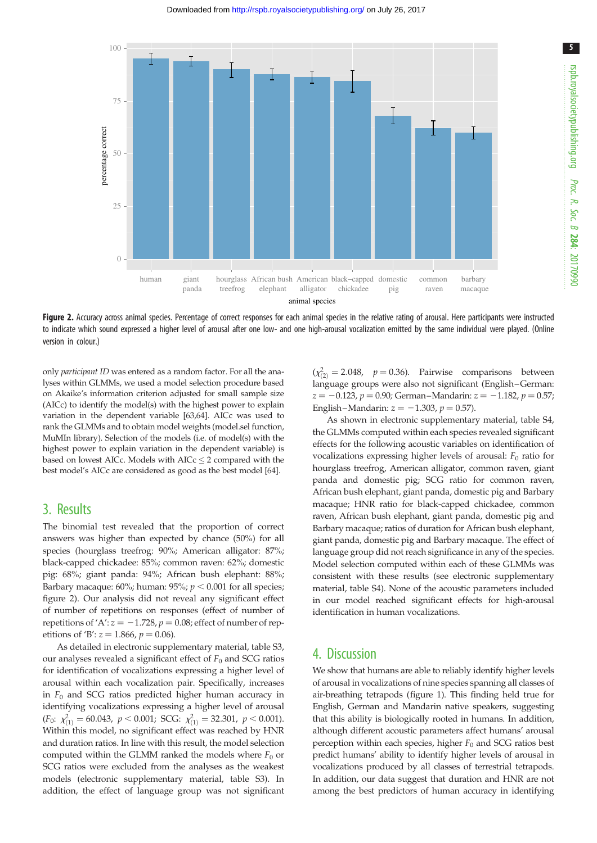



Figure 2. Accuracy across animal species. Percentage of correct responses for each animal species in the relative rating of arousal. Here participants were instructed to indicate which sound expressed a higher level of arousal after one low- and one high-arousal vocalization emitted by the same individual were played. (Online version in colour.)

only participant ID was entered as a random factor. For all the analyses within GLMMs, we used a model selection procedure based on Akaike's information criterion adjusted for small sample size (AICc) to identify the model(s) with the highest power to explain variation in the dependent variable [\[63,64](#page-7-0)]. AICc was used to rank the GLMMs and to obtain model weights (model.sel function, MuMIn library). Selection of the models (i.e. of model(s) with the highest power to explain variation in the dependent variable) is based on lowest AICc. Models with  $AICc \leq 2$  compared with the best model's AICc are considered as good as the best model [[64](#page-7-0)].

### 3. Results

The binomial test revealed that the proportion of correct answers was higher than expected by chance (50%) for all species (hourglass treefrog: 90%; American alligator: 87%; black-capped chickadee: 85%; common raven: 62%; domestic pig: 68%; giant panda: 94%; African bush elephant: 88%; Barbary macaque:  $60\%$ ; human:  $95\%$ ;  $p < 0.001$  for all species; figure 2). Our analysis did not reveal any significant effect of number of repetitions on responses (effect of number of repetitions of 'A':  $z = -1.728$ ,  $p = 0.08$ ; effect of number of repetitions of 'B':  $z = 1.866$ ,  $p = 0.06$ ).

As detailed in electronic supplementary material, table S3, our analyses revealed a significant effect of  $F_0$  and SCG ratios for identification of vocalizations expressing a higher level of arousal within each vocalization pair. Specifically, increases in  $F_0$  and SCG ratios predicted higher human accuracy in identifying vocalizations expressing a higher level of arousal  $(F_0: \chi^2_{(1)} = 60.043, p < 0.001; \text{SCG: } \chi^2_{(1)} = 32.301, p < 0.001).$ Within this model, no significant effect was reached by HNR and duration ratios. In line with this result, the model selection computed within the GLMM ranked the models where  $F_0$  or SCG ratios were excluded from the analyses as the weakest models (electronic supplementary material, table S3). In addition, the effect of language group was not significant

 $(\chi^2_{(2)} = 2.048, p = 0.36)$ . Pairwise comparisons between language groups were also not significant (English–German:  $z = -0.123$ ,  $p = 0.90$ ; German–Mandarin:  $z = -1.182$ ,  $p = 0.57$ ; English–Mandarin:  $z = -1.303$ ,  $p = 0.57$ ).

As shown in electronic supplementary material, table S4, the GLMMs computed within each species revealed significant effects for the following acoustic variables on identification of vocalizations expressing higher levels of arousal:  $F_0$  ratio for hourglass treefrog, American alligator, common raven, giant panda and domestic pig; SCG ratio for common raven, African bush elephant, giant panda, domestic pig and Barbary macaque; HNR ratio for black-capped chickadee, common raven, African bush elephant, giant panda, domestic pig and Barbary macaque; ratios of duration for African bush elephant, giant panda, domestic pig and Barbary macaque. The effect of language group did not reach significance in any of the species. Model selection computed within each of these GLMMs was consistent with these results (see electronic supplementary material, table S4). None of the acoustic parameters included in our model reached significant effects for high-arousal identification in human vocalizations.

#### 4. Discussion

We show that humans are able to reliably identify higher levels of arousal in vocalizations of nine species spanning all classes of air-breathing tetrapods [\(figure 1](#page-2-0)). This finding held true for English, German and Mandarin native speakers, suggesting that this ability is biologically rooted in humans. In addition, although different acoustic parameters affect humans' arousal perception within each species, higher  $F_0$  and SCG ratios best predict humans' ability to identify higher levels of arousal in vocalizations produced by all classes of terrestrial tetrapods. In addition, our data suggest that duration and HNR are not among the best predictors of human accuracy in identifying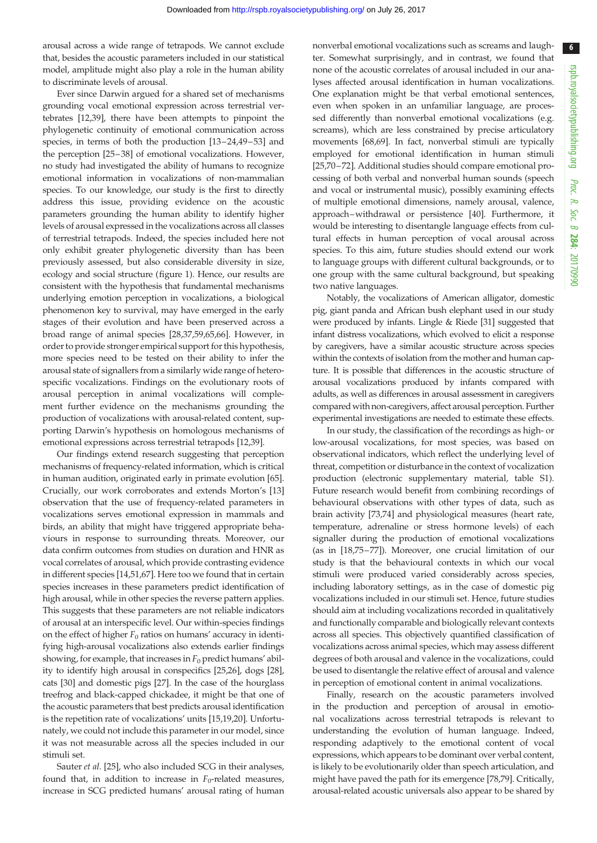arousal across a wide range of tetrapods. We cannot exclude that, besides the acoustic parameters included in our statistical model, amplitude might also play a role in the human ability to discriminate levels of arousal.

Ever since Darwin argued for a shared set of mechanisms grounding vocal emotional expression across terrestrial vertebrates [[12](#page-6-0),[39\]](#page-7-0), there have been attempts to pinpoint the phylogenetic continuity of emotional communication across species, in terms of both the production [[13](#page-6-0)–[24,49](#page-7-0)–[53\]](#page-7-0) and the perception [[25](#page-7-0)–[38\]](#page-7-0) of emotional vocalizations. However, no study had investigated the ability of humans to recognize emotional information in vocalizations of non-mammalian species. To our knowledge, our study is the first to directly address this issue, providing evidence on the acoustic parameters grounding the human ability to identify higher levels of arousal expressed in the vocalizations across all classes of terrestrial tetrapods. Indeed, the species included here not only exhibit greater phylogenetic diversity than has been previously assessed, but also considerable diversity in size, ecology and social structure [\(figure 1](#page-2-0)). Hence, our results are consistent with the hypothesis that fundamental mechanisms underlying emotion perception in vocalizations, a biological phenomenon key to survival, may have emerged in the early stages of their evolution and have been preserved across a broad range of animal species [[28](#page-7-0),[37,59,65,66](#page-7-0)]. However, in order to provide stronger empirical support for this hypothesis, more species need to be tested on their ability to infer the arousal state of signallers from a similarly wide range of heterospecific vocalizations. Findings on the evolutionary roots of arousal perception in animal vocalizations will complement further evidence on the mechanisms grounding the production of vocalizations with arousal-related content, supporting Darwin's hypothesis on homologous mechanisms of emotional expressions across terrestrial tetrapods [\[12](#page-6-0)[,39](#page-7-0)].

Our findings extend research suggesting that perception mechanisms of frequency-related information, which is critical in human audition, originated early in primate evolution [\[65](#page-7-0)]. Crucially, our work corroborates and extends Morton's [[13\]](#page-6-0) observation that the use of frequency-related parameters in vocalizations serves emotional expression in mammals and birds, an ability that might have triggered appropriate behaviours in response to surrounding threats. Moreover, our data confirm outcomes from studies on duration and HNR as vocal correlates of arousal, which provide contrasting evidence in different species [\[14](#page-6-0)[,51](#page-7-0)[,67](#page-8-0)]. Here too we found that in certain species increases in these parameters predict identification of high arousal, while in other species the reverse pattern applies. This suggests that these parameters are not reliable indicators of arousal at an interspecific level. Our within-species findings on the effect of higher  $F_0$  ratios on humans' accuracy in identifying high-arousal vocalizations also extends earlier findings showing, for example, that increases in  $F_0$  predict humans' ability to identify high arousal in conspecifics [\[25,26](#page-7-0)], dogs [\[28](#page-7-0)], cats [\[30](#page-7-0)] and domestic pigs [[27](#page-7-0)]. In the case of the hourglass treefrog and black-capped chickadee, it might be that one of the acoustic parameters that best predicts arousal identification is the repetition rate of vocalizations' units [\[15,19,20](#page-6-0)]. Unfortunately, we could not include this parameter in our model, since it was not measurable across all the species included in our stimuli set.

Sauter et al. [[25](#page-7-0)], who also included SCG in their analyses, found that, in addition to increase in  $F_0$ -related measures, increase in SCG predicted humans' arousal rating of human nonverbal emotional vocalizations such as screams and laughter. Somewhat surprisingly, and in contrast, we found that none of the acoustic correlates of arousal included in our analyses affected arousal identification in human vocalizations. One explanation might be that verbal emotional sentences, even when spoken in an unfamiliar language, are processed differently than nonverbal emotional vocalizations (e.g. screams), which are less constrained by precise articulatory movements [\[68,69](#page-8-0)]. In fact, nonverbal stimuli are typically employed for emotional identification in human stimuli [[25,](#page-7-0)[70](#page-8-0)–[72\]](#page-8-0). Additional studies should compare emotional processing of both verbal and nonverbal human sounds (speech and vocal or instrumental music), possibly examining effects of multiple emotional dimensions, namely arousal, valence, approach–withdrawal or persistence [[40\]](#page-7-0). Furthermore, it would be interesting to disentangle language effects from cultural effects in human perception of vocal arousal across species. To this aim, future studies should extend our work to language groups with different cultural backgrounds, or to one group with the same cultural background, but speaking two native languages.

Notably, the vocalizations of American alligator, domestic pig, giant panda and African bush elephant used in our study were produced by infants. Lingle & Riede [\[31\]](#page-7-0) suggested that infant distress vocalizations, which evolved to elicit a response by caregivers, have a similar acoustic structure across species within the contexts of isolation from the mother and human capture. It is possible that differences in the acoustic structure of arousal vocalizations produced by infants compared with adults, as well as differences in arousal assessment in caregivers compared with non-caregivers, affect arousal perception. Further experimental investigations are needed to estimate these effects.

In our study, the classification of the recordings as high- or low-arousal vocalizations, for most species, was based on observational indicators, which reflect the underlying level of threat, competition or disturbance in the context of vocalization production (electronic supplementary material, table S1). Future research would benefit from combining recordings of behavioural observations with other types of data, such as brain activity [\[73,74](#page-8-0)] and physiological measures (heart rate, temperature, adrenaline or stress hormone levels) of each signaller during the production of emotional vocalizations (as in [[18,](#page-6-0)[75](#page-8-0)–[77\]](#page-8-0)). Moreover, one crucial limitation of our study is that the behavioural contexts in which our vocal stimuli were produced varied considerably across species, including laboratory settings, as in the case of domestic pig vocalizations included in our stimuli set. Hence, future studies should aim at including vocalizations recorded in qualitatively and functionally comparable and biologically relevant contexts across all species. This objectively quantified classification of vocalizations across animal species, which may assess different degrees of both arousal and valence in the vocalizations, could be used to disentangle the relative effect of arousal and valence in perception of emotional content in animal vocalizations.

Finally, research on the acoustic parameters involved in the production and perception of arousal in emotional vocalizations across terrestrial tetrapods is relevant to understanding the evolution of human language. Indeed, responding adaptively to the emotional content of vocal expressions, which appears to be dominant over verbal content, is likely to be evolutionarily older than speech articulation, and might have paved the path for its emergence [\[78,79](#page-8-0)]. Critically, arousal-related acoustic universals also appear to be shared by

6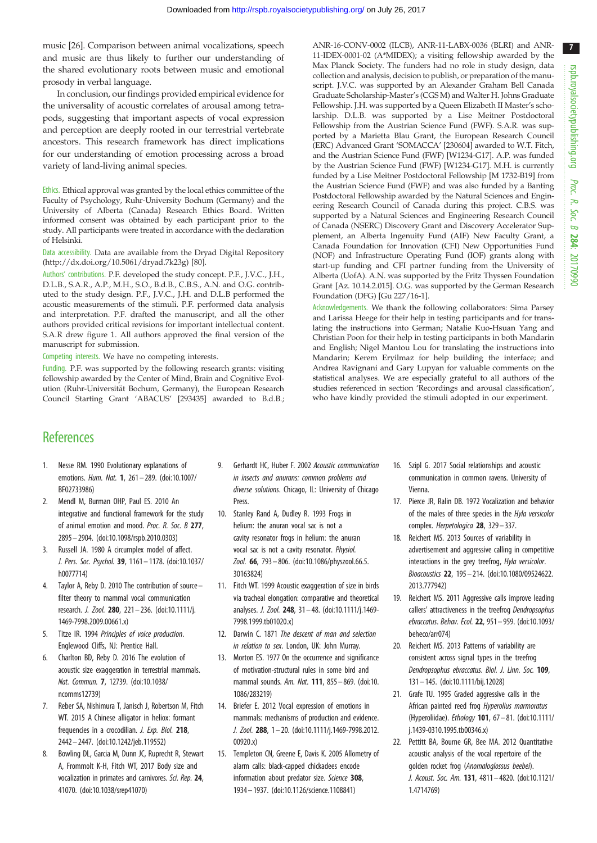<span id="page-6-0"></span>music [\[26\]](#page-7-0). Comparison between animal vocalizations, speech and music are thus likely to further our understanding of the shared evolutionary roots between music and emotional prosody in verbal language.

In conclusion, our findings provided empirical evidence for the universality of acoustic correlates of arousal among tetrapods, suggesting that important aspects of vocal expression and perception are deeply rooted in our terrestrial vertebrate ancestors. This research framework has direct implications for our understanding of emotion processing across a broad variety of land-living animal species.

Ethics. Ethical approval was granted by the local ethics committee of the Faculty of Psychology, Ruhr-University Bochum (Germany) and the University of Alberta (Canada) Research Ethics Board. Written informed consent was obtained by each participant prior to the study. All participants were treated in accordance with the declaration of Helsinki.

Data accessibility. Data are available from the Dryad Digital Repository [\(http://dx.doi.org/10.5061/dryad.7k23g\)](http://dx.doi.org/10.5061/dryad.7k23g) [\[80](#page-8-0)].

Authors' contributions. P.F. developed the study concept. P.F., J.V.C., J.H., D.L.B., S.A.R., A.P., M.H., S.O., B.d.B., C.B.S., A.N. and O.G. contributed to the study design. P.F., J.V.C., J.H. and D.L.B performed the acoustic measurements of the stimuli. P.F. performed data analysis and interpretation. P.F. drafted the manuscript, and all the other authors provided critical revisions for important intellectual content. S.A.R drew [figure 1.](#page-2-0) All authors approved the final version of the manuscript for submission.

Competing interests. We have no competing interests.

Funding. P.F. was supported by the following research grants: visiting fellowship awarded by the Center of Mind, Brain and Cognitive Evolution (Ruhr-Universität Bochum, Germany), the European Research Council Starting Grant 'ABACUS' [293435] awarded to B.d.B.; ANR-16-CONV-0002 (ILCB), ANR-11-LABX-0036 (BLRI) and ANR-11-IDEX-0001-02 (A\*MIDEX); a visiting fellowship awarded by the Max Planck Society. The funders had no role in study design, data collection and analysis, decision to publish, or preparation of the manuscript. J.V.C. was supported by an Alexander Graham Bell Canada Graduate Scholarship-Master's (CGS M) and Walter H. Johns Graduate Fellowship. J.H. was supported by a Queen Elizabeth II Master's scholarship. D.L.B. was supported by a Lise Meitner Postdoctoral Fellowship from the Austrian Science Fund (FWF). S.A.R. was supported by a Marietta Blau Grant, the European Research Council (ERC) Advanced Grant 'SOMACCA' [230604] awarded to W.T. Fitch, and the Austrian Science Fund (FWF) [W1234-G17]. A.P. was funded by the Austrian Science Fund (FWF) [W1234-G17]. M.H. is currently funded by a Lise Meitner Postdoctoral Fellowship [M 1732-B19] from the Austrian Science Fund (FWF) and was also funded by a Banting Postdoctoral Fellowship awarded by the Natural Sciences and Engineering Research Council of Canada during this project. C.B.S. was supported by a Natural Sciences and Engineering Research Council of Canada (NSERC) Discovery Grant and Discovery Accelerator Supplement, an Alberta Ingenuity Fund (AIF) New Faculty Grant, a Canada Foundation for Innovation (CFI) New Opportunities Fund (NOF) and Infrastructure Operating Fund (IOF) grants along with start-up funding and CFI partner funding from the University of Alberta (UofA). A.N. was supported by the Fritz Thyssen Foundation Grant [Az. 10.14.2.015]. O.G. was supported by the German Research Foundation (DFG) [Gu 227/16-1].

Acknowledgements. We thank the following collaborators: Sima Parsey and Larissa Heege for their help in testing participants and for translating the instructions into German; Natalie Kuo-Hsuan Yang and Christian Poon for their help in testing participants in both Mandarin and English; Nigel Mantou Lou for translating the instructions into Mandarin; Kerem Eryilmaz for help building the interface; and Andrea Ravignani and Gary Lupyan for valuable comments on the statistical analyses. We are especially grateful to all authors of the studies referenced in section 'Recordings and arousal classification', who have kindly provided the stimuli adopted in our experiment.

## **References**

- 1. Nesse RM. 1990 Evolutionary explanations of emotions. Hum. Nat. 1, 261 – 289. ([doi:10.1007/](http://dx.doi.org/10.1007/BF02733986) [BF02733986\)](http://dx.doi.org/10.1007/BF02733986)
- 2. Mendl M, Burman OHP, Paul ES. 2010 An integrative and functional framework for the study of animal emotion and mood. Proc. R. Soc. B 277, 2895 – 2904. [\(doi:10.1098/rspb.2010.0303](http://dx.doi.org/10.1098/rspb.2010.0303))
- 3. Russell JA. 1980 A circumplex model of affect. J. Pers. Soc. Psychol. 39, 1161– 1178. ([doi:10.1037/](http://dx.doi.org/10.1037/h0077714) [h0077714](http://dx.doi.org/10.1037/h0077714))
- 4. Taylor A, Reby D. 2010 The contribution of source– filter theory to mammal vocal communication research. J. Zool. 280, 221 – 236. [\(doi:10.1111/j.](http://dx.doi.org/10.1111/j.1469-7998.2009.00661.x) [1469-7998.2009.00661.x\)](http://dx.doi.org/10.1111/j.1469-7998.2009.00661.x)
- 5. Titze IR. 1994 Principles of voice production. Englewood Cliffs, NJ: Prentice Hall.
- 6. Charlton BD, Reby D. 2016 The evolution of acoustic size exaggeration in terrestrial mammals. Nat. Commun. 7, 12739. ([doi:10.1038/](http://dx.doi.org/10.1038/ncomms12739) [ncomms12739](http://dx.doi.org/10.1038/ncomms12739))
- 7. Reber SA, Nishimura T, Janisch J, Robertson M, Fitch WT. 2015 A Chinese alligator in heliox: formant frequencies in a crocodilian. J. Exp. Biol. 218, 2442 – 2447. [\(doi:10.1242/jeb.119552](http://dx.doi.org/10.1242/jeb.119552))
- 8. Bowling DL, Garcia M, Dunn JC, Ruprecht R, Stewart A, Frommolt K-H, Fitch WT, 2017 Body size and vocalization in primates and carnivores. Sci. Rep. 24, 41070. ([doi:10.1038/srep41070\)](http://dx.doi.org/10.1038/srep41070)
- 9. Gerhardt HC, Huber F. 2002 Acoustic communication in insects and anurans: common problems and diverse solutions. Chicago, IL: University of Chicago Press.
- 10. Stanley Rand A, Dudley R. 1993 Frogs in helium: the anuran vocal sac is not a cavity resonator frogs in helium: the anuran vocal sac is not a cavity resonator. Physiol. Zool. 66, 793– 806. [\(doi:10.1086/physzool.66.5.](http://dx.doi.org/10.1086/physzool.66.5.30163824) [30163824\)](http://dx.doi.org/10.1086/physzool.66.5.30163824)
- 11. Fitch WT. 1999 Acoustic exaggeration of size in birds via tracheal elongation: comparative and theoretical analyses. J. Zool. 248, 31– 48. [\(doi:10.1111/j.1469-](http://dx.doi.org/10.1111/j.1469-7998.1999.tb01020.x) [7998.1999.tb01020.x\)](http://dx.doi.org/10.1111/j.1469-7998.1999.tb01020.x)
- 12. Darwin C. 1871 The descent of man and selection in relation to sex. London, UK: John Murray.
- 13. Morton ES. 1977 On the occurrence and significance of motivation-structural rules in some bird and mammal sounds. Am. Nat. 111, 855– 869. [\(doi:10.](http://dx.doi.org/10.1086/283219) [1086/283219](http://dx.doi.org/10.1086/283219))
- 14. Briefer E. 2012 Vocal expression of emotions in mammals: mechanisms of production and evidence. J. Zool. 288, 1 – 20. ([doi:10.1111/j.1469-7998.2012.](http://dx.doi.org/10.1111/j.1469-7998.2012.00920.x) [00920.x](http://dx.doi.org/10.1111/j.1469-7998.2012.00920.x))
- 15. Templeton CN, Greene E, Davis K. 2005 Allometry of alarm calls: black-capped chickadees encode information about predator size. Science 308, 1934– 1937. [\(doi:10.1126/science.1108841](http://dx.doi.org/10.1126/science.1108841))
- 16. Szipl G. 2017 Social relationships and acoustic communication in common ravens. University of Vienna.
- 17. Pierce JR, Ralin DB. 1972 Vocalization and behavior of the males of three species in the Hyla versicolor complex. Herpetologica 28, 329-337.
- 18. Reichert MS. 2013 Sources of variability in advertisement and aggressive calling in competitive interactions in the grey treefrog, Hyla versicolor. Bioacoustics 22, 195– 214. [\(doi:10.1080/09524622.](http://dx.doi.org/10.1080/09524622.2013.777942) [2013.777942](http://dx.doi.org/10.1080/09524622.2013.777942))
- 19. Reichert MS. 2011 Aggressive calls improve leading callers' attractiveness in the treefrog Dendropsophus ebraccatus. Behav. Ecol. 22, 951 – 959. [\(doi:10.1093/](http://dx.doi.org/10.1093/beheco/arr074) [beheco/arr074](http://dx.doi.org/10.1093/beheco/arr074))
- 20. Reichert MS. 2013 Patterns of variability are consistent across signal types in the treefrog Dendropsophus ebraccatus. Biol. J. Linn. Soc. 109, 131– 145. [\(doi:10.1111/bij.12028](http://dx.doi.org/10.1111/bij.12028))
- 21. Grafe TU. 1995 Graded aggressive calls in the African painted reed frog Hyperolius marmoratus (Hyperoliidae). Ethology 101, 67 – 81. [\(doi:10.1111/](http://dx.doi.org/10.1111/j.1439-0310.1995.tb00346.x) [j.1439-0310.1995.tb00346.x\)](http://dx.doi.org/10.1111/j.1439-0310.1995.tb00346.x)
- 22. Pettitt BA, Bourne GR, Bee MA. 2012 Quantitative acoustic analysis of the vocal repertoire of the golden rocket frog (Anomaloglossus beebei). J. Acoust. Soc. Am. 131, 4811 – 4820. [\(doi:10.1121/](http://dx.doi.org/10.1121/1.4714769) [1.4714769](http://dx.doi.org/10.1121/1.4714769))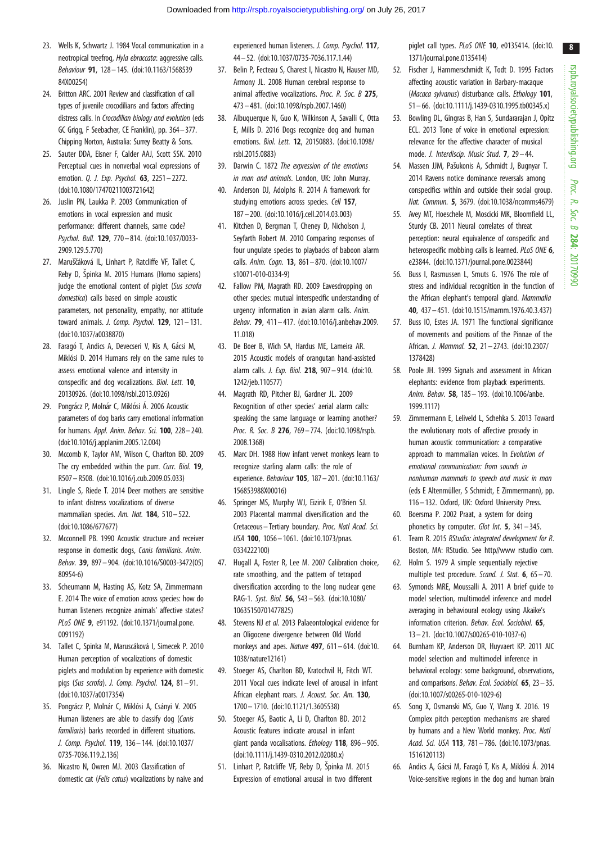- <span id="page-7-0"></span>23. Wells K, Schwartz J. 1984 Vocal communication in a neotropical treefrog, Hyla ebraccata: aggressive calls. Behaviour 91, 128– 145. ([doi:10.1163/1568539](http://dx.doi.org/10.1163/156853984X00254) [84X00254](http://dx.doi.org/10.1163/156853984X00254))
- 24. Britton ARC. 2001 Review and classification of call types of juvenile crocodilians and factors affecting distress calls. In Crocodilian biology and evolution (eds GC Grigg, F Seebacher, CE Franklin), pp. 364–377. Chipping Norton, Australia: Surrey Beatty & Sons.
- 25. Sauter DDA, Eisner F, Calder AAJ, Scott SSK. 2010 Perceptual cues in nonverbal vocal expressions of emotion. Q. J. Exp. Psychol. 63, 2251 – 2272. [\(doi:10.1080/17470211003721642](http://dx.doi.org/10.1080/17470211003721642))
- 26. Juslin PN, Laukka P. 2003 Communication of emotions in vocal expression and music performance: different channels, same code? Psychol. Bull. 129, 770– 814. ([doi:10.1037/0033-](http://dx.doi.org/10.1037/0033-2909.129.5.770) [2909.129.5.770](http://dx.doi.org/10.1037/0033-2909.129.5.770))
- 27. Maruščáková IL, Linhart P, Ratcliffe VF, Tallet C, Reby D, Špinka M. 2015 Humans (Homo sapiens) judge the emotional content of piglet (Sus scrofa domestica) calls based on simple acoustic parameters, not personality, empathy, nor attitude toward animals. J. Comp. Psychol.  $129$ ,  $121 - 131$ . [\(doi:10.1037/a0038870\)](http://dx.doi.org/10.1037/a0038870)
- 28. Faragó T, Andics A, Devecseri V, Kis A, Gácsi M, Miklósi D. 2014 Humans rely on the same rules to assess emotional valence and intensity in conspecific and dog vocalizations. Biol. Lett. 10, 20130926. [\(doi:10.1098/rsbl.2013.0926\)](http://dx.doi.org/10.1098/rsbl.2013.0926)
- 29. Pongrácz P, Molnár C, Miklósi Á. 2006 Acoustic parameters of dog barks carry emotional information for humans. Appl. Anim. Behav. Sci. 100, 228–240. [\(doi:10.1016/j.applanim.2005.12.004](http://dx.doi.org/10.1016/j.applanim.2005.12.004))
- 30. Mccomb K, Taylor AM, Wilson C, Charlton BD. 2009 The cry embedded within the purr. Curr. Biol. 19, R507 –R508. ([doi:10.1016/j.cub.2009.05.033\)](http://dx.doi.org/10.1016/j.cub.2009.05.033)
- 31. Lingle S, Riede T. 2014 Deer mothers are sensitive to infant distress vocalizations of diverse mammalian species. Am. Nat. 184, 510-522. [\(doi:10.1086/677677](http://dx.doi.org/10.1086/677677))
- 32. Mcconnell PB. 1990 Acoustic structure and receiver response in domestic dogs, Canis familiaris. Anim. Behav. 39, 897– 904. ([doi:10.1016/S0003-3472\(05\)](http://dx.doi.org/10.1016/S0003-3472(05)80954-6) [80954-6\)](http://dx.doi.org/10.1016/S0003-3472(05)80954-6)
- 33. Scheumann M, Hasting AS, Kotz SA, Zimmermann E. 2014 The voice of emotion across species: how do human listeners recognize animals' affective states? PLoS ONE 9, e91192. [\(doi:10.1371/journal.pone.](http://dx.doi.org/10.1371/journal.pone.0091192) [0091192\)](http://dx.doi.org/10.1371/journal.pone.0091192)
- 34. Tallet C, Spinka M, Maruscáková I, Simecek P. 2010 Human perception of vocalizations of domestic piglets and modulation by experience with domestic pigs (Sus scrofa). J. Comp. Psychol.  $124$ ,  $81 - 91$ . [\(doi:10.1037/a0017354\)](http://dx.doi.org/10.1037/a0017354)
- 35. Pongrácz P, Molnár C, Miklósi A, Csányi V. 2005 Human listeners are able to classify dog (Canis familiaris) barks recorded in different situations. J. Comp. Psychol. 119, 136– 144. [\(doi:10.1037/](http://dx.doi.org/10.1037/0735-7036.119.2.136) [0735-7036.119.2.136](http://dx.doi.org/10.1037/0735-7036.119.2.136))
- 36. Nicastro N, Owren MJ. 2003 Classification of domestic cat (Felis catus) vocalizations by naive and

experienced human listeners. J. Comp. Psychol. 117, 44 – 52. ([doi:10.1037/0735-7036.117.1.44\)](http://dx.doi.org/10.1037/0735-7036.117.1.44)

- 37. Belin P, Fecteau S, Charest I, Nicastro N, Hauser MD, Armony JL. 2008 Human cerebral response to animal affective vocalizations. Proc. R. Soc. B 275, 473 – 481. [\(doi:10.1098/rspb.2007.1460](http://dx.doi.org/10.1098/rspb.2007.1460))
- 38. Albuquerque N, Guo K, Wilkinson A, Savalli C, Otta E, Mills D. 2016 Dogs recognize dog and human emotions. Biol. Lett. 12, 20150883. ([doi:10.1098/](http://dx.doi.org/10.1098/rsbl.2015.0883) [rsbl.2015.0883](http://dx.doi.org/10.1098/rsbl.2015.0883))
- 39. Darwin C. 1872 The expression of the emotions in man and animals. London, UK: John Murray.
- 40. Anderson DJ, Adolphs R. 2014 A framework for studying emotions across species. Cell 157, 187 – 200. [\(doi:10.1016/j.cell.2014.03.003\)](http://dx.doi.org/10.1016/j.cell.2014.03.003)
- 41. Kitchen D, Bergman T, Cheney D, Nicholson J, Seyfarth Robert M. 2010 Comparing responses of four ungulate species to playbacks of baboon alarm calls. Anim. Cogn. 13, 861– 870. [\(doi:10.1007/](http://dx.doi.org/10.1007/s10071-010-0334-9) [s10071-010-0334-9\)](http://dx.doi.org/10.1007/s10071-010-0334-9)
- 42. Fallow PM, Magrath RD. 2009 Eavesdropping on other species: mutual interspecific understanding of urgency information in avian alarm calls. Anim. Behav. 79, 411 – 417. ([doi:10.1016/j.anbehav.2009.](http://dx.doi.org/10.1016/j.anbehav.2009.11.018) [11.018](http://dx.doi.org/10.1016/j.anbehav.2009.11.018))
- 43. De Boer B, Wich SA, Hardus ME, Lameira AR. 2015 Acoustic models of orangutan hand-assisted alarm calls. J. Exp. Biol. 218, 907– 914. [\(doi:10.](http://dx.doi.org/10.1242/jeb.110577) [1242/jeb.110577](http://dx.doi.org/10.1242/jeb.110577))
- 44. Magrath RD, Pitcher BJ, Gardner JL. 2009 Recognition of other species' aerial alarm calls: speaking the same language or learning another? Proc. R. Soc. B 276, 769-774. ([doi:10.1098/rspb.](http://dx.doi.org/10.1098/rspb.2008.1368) [2008.1368\)](http://dx.doi.org/10.1098/rspb.2008.1368)
- 45. Marc DH. 1988 How infant vervet monkeys learn to recognize starling alarm calls: the role of experience. Behaviour 105, 187– 201. [\(doi:10.1163/](http://dx.doi.org/10.1163/156853988X00016) [156853988X00016\)](http://dx.doi.org/10.1163/156853988X00016)
- 46. Springer MS, Murphy WJ, Eizirik E, O'Brien SJ. 2003 Placental mammal diversification and the Cretaceous– Tertiary boundary. Proc. Natl Acad. Sci. USA 100, 1056– 1061. ([doi:10.1073/pnas.](http://dx.doi.org/10.1073/pnas.0334222100) [0334222100\)](http://dx.doi.org/10.1073/pnas.0334222100)
- 47. Hugall A, Foster R, Lee M. 2007 Calibration choice, rate smoothing, and the pattern of tetrapod diversification according to the long nuclear gene RAG-1. Syst. Biol. 56, 543– 563. [\(doi:10.1080/](http://dx.doi.org/10.1080/10635150701477825) [10635150701477825](http://dx.doi.org/10.1080/10635150701477825))
- 48. Stevens NJ et al. 2013 Palaeontological evidence for an Oligocene divergence between Old World monkeys and apes. Nature  $497.611 - 614.$  [\(doi:10.](http://dx.doi.org/10.1038/nature12161) [1038/nature12161](http://dx.doi.org/10.1038/nature12161))
- 49. Stoeger AS, Charlton BD, Kratochvil H, Fitch WT. 2011 Vocal cues indicate level of arousal in infant African elephant roars. J. Acoust. Soc. Am. 130, 1700– 1710. [\(doi:10.1121/1.3605538](http://dx.doi.org/10.1121/1.3605538))
- 50. Stoeger AS, Baotic A, Li D, Charlton BD. 2012 Acoustic features indicate arousal in infant giant panda vocalisations. Ethology 118, 896– 905. [\(doi:10.1111/j.1439-0310.2012.02080.x\)](http://dx.doi.org/10.1111/j.1439-0310.2012.02080.x)
- 51. Linhart P, Ratcliffe VF, Reby D, Špinka M. 2015 Expression of emotional arousal in two different

piglet call types. PLoS ONE 10, e0135414. ([doi:10.](http://dx.doi.org/10.1371/journal.pone.0135414) [1371/journal.pone.0135414](http://dx.doi.org/10.1371/journal.pone.0135414))

- 52. Fischer J, Hammerschmidt K, Todt D. 1995 Factors affecting acoustic variation in Barbary-macaque (Macaca sylvanus) disturbance calls. Ethology 101. 51– 66. [\(doi:10.1111/j.1439-0310.1995.tb00345.x](http://dx.doi.org/10.1111/j.1439-0310.1995.tb00345.x))
- 53. Bowling DL, Gingras B, Han S, Sundararajan J, Opitz ECL. 2013 Tone of voice in emotional expression: relevance for the affective character of musical mode. J. Interdiscip. Music Stud. **7**, 29-44.
- 54. Massen JJM, Pašukonis A, Schmidt J, Bugnyar T. 2014 Ravens notice dominance reversals among conspecifics within and outside their social group. Nat. Commun. 5, 3679. ([doi:10.1038/ncomms4679](http://dx.doi.org/10.1038/ncomms4679))
- 55. Avey MT, Hoeschele M, Moscicki MK, Bloomfield LL, Sturdy CB. 2011 Neural correlates of threat perception: neural equivalence of conspecific and heterospecific mobbing calls is learned. PLoS ONE 6, e23844. ([doi:10.1371/journal.pone.0023844](http://dx.doi.org/10.1371/journal.pone.0023844))
- 56. Buss I, Rasmussen L, Smuts G. 1976 The role of stress and individual recognition in the function of the African elephant's temporal gland. Mammalia 40, 437 – 451. [\(doi:10.1515/mamm.1976.40.3.437](http://dx.doi.org/10.1515/mamm.1976.40.3.437))
- 57. Buss IO, Estes JA. 1971 The functional significance of movements and positions of the Pinnae of the African. J. Mammal. 52, 21 – 2743. ([doi:10.2307/](http://dx.doi.org/10.2307/1378428) [1378428](http://dx.doi.org/10.2307/1378428))
- 58. Poole JH. 1999 Signals and assessment in African elephants: evidence from playback experiments. Anim. Behav. 58, 185– 193. [\(doi:10.1006/anbe.](http://dx.doi.org/10.1006/anbe.1999.1117) [1999.1117](http://dx.doi.org/10.1006/anbe.1999.1117))
- 59. Zimmermann E, Leliveld L, Schehka S. 2013 Toward the evolutionary roots of affective prosody in human acoustic communication: a comparative approach to mammalian voices. In Evolution of emotional communication: from sounds in nonhuman mammals to speech and music in man (eds E Altenmüller, S Schmidt, E Zimmermann), pp. 116– 132. Oxford, UK: Oxford University Press.
- 60. Boersma P. 2002 Praat, a system for doing phonetics by computer. Glot Int. 5, 341 – 345.
- 61. Team R. 2015 RStudio: integrated development for R. Boston, MA: RStudio. See<http//www> rstudio com.
- 62. Holm S. 1979 A simple sequentially rejective multiple test procedure. Scand. J. Stat. 6, 65 – 70.
- 63. Symonds MRE, Moussalli A. 2011 A brief guide to model selection, multimodel inference and model averaging in behavioural ecology using Akaike's information criterion. Behav. Ecol. Sociobiol. 65, 13– 21. [\(doi:10.1007/s00265-010-1037-6\)](http://dx.doi.org/10.1007/s00265-010-1037-6)
- 64. Burnham KP, Anderson DR, Huyvaert KP. 2011 AIC model selection and multimodel inference in behavioral ecology: some background, observations, and comparisons. Behav. Ecol. Sociobiol. 65, 23 – 35. ([doi:10.1007/s00265-010-1029-6](http://dx.doi.org/10.1007/s00265-010-1029-6))
- 65. Song X, Osmanski MS, Guo Y, Wang X. 2016. 19 Complex pitch perception mechanisms are shared by humans and a New World monkey. Proc. Natl Acad. Sci. USA 113, 781 – 786. [\(doi:10.1073/pnas.](http://dx.doi.org/10.1073/pnas.1516120113) [1516120113](http://dx.doi.org/10.1073/pnas.1516120113))
- 66. Andics A, Gácsi M, Faragó T, Kis A, Miklósi Á. 2014 Voice-sensitive regions in the dog and human brain

8